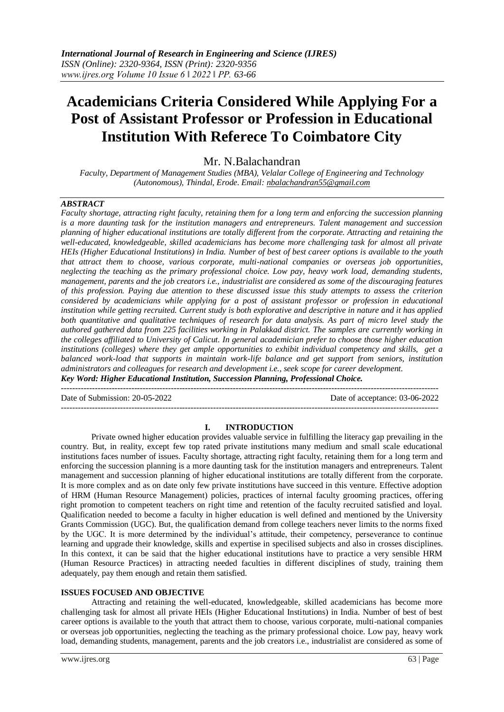# **Academicians Criteria Considered While Applying For a Post of Assistant Professor or Profession in Educational Institution With Referece To Coimbatore City**

Mr. N.Balachandran

*Faculty, Department of Management Studies (MBA), Velalar College of Engineering and Technology (Autonomous), Thindal, Erode. Email: [nbalachandran55@gmail.com](mailto:nbalachandran55@gmail.com)*

## *ABSTRACT*

*Faculty shortage, attracting right faculty, retaining them for a long term and enforcing the succession planning is a more daunting task for the institution managers and entrepreneurs. Talent management and succession planning of higher educational institutions are totally different from the corporate. Attracting and retaining the well-educated, knowledgeable, skilled academicians has become more challenging task for almost all private HEIs (Higher Educational Institutions) in India. Number of best of best career options is available to the youth that attract them to choose, various corporate, multi-national companies or overseas job opportunities, neglecting the teaching as the primary professional choice. Low pay, heavy work load, demanding students, management, parents and the job creators i.e., industrialist are considered as some of the discouraging features of this profession. Paying due attention to these discussed issue this study attempts to assess the criterion considered by academicians while applying for a post of assistant professor or profession in educational institution while getting recruited. Current study is both explorative and descriptive in nature and it has applied both quantitative and qualitative techniques of research for data analysis. As part of micro level study the authored gathered data from 225 facilities working in Palakkad district. The samples are currently working in the colleges affiliated to University of Calicut. In general academician prefer to choose those higher education institutions (colleges) where they get ample opportunities to exhibit individual competency and skills, get a balanced work-load that supports in maintain work-life balance and get support from seniors, institution administrators and colleagues for research and development i.e., seek scope for career development. Key Word: Higher Educational Institution, Succession Planning, Professional Choice.* 

--------------------------------------------------------------------------------------------------------------------------------------

Date of Submission: 20-05-2022 Date of acceptance: 03-06-2022 --------------------------------------------------------------------------------------------------------------------------------------

## **I. INTRODUCTION**

Private owned higher education provides valuable service in fulfilling the literacy gap prevailing in the country. But, in reality, except few top rated private institutions many medium and small scale educational institutions faces number of issues. Faculty shortage, attracting right faculty, retaining them for a long term and enforcing the succession planning is a more daunting task for the institution managers and entrepreneurs. Talent management and succession planning of higher educational institutions are totally different from the corporate. It is more complex and as on date only few private institutions have succeed in this venture. Effective adoption of HRM (Human Resource Management) policies, practices of internal faculty grooming practices, offering right promotion to competent teachers on right time and retention of the faculty recruited satisfied and loyal. Qualification needed to become a faculty in higher education is well defined and mentioned by the University Grants Commission (UGC). But, the qualification demand from college teachers never limits to the norms fixed by the UGC. It is more determined by the individual's attitude, their competency, perseverance to continue learning and upgrade their knowledge, skills and expertise in specilised subjects and also in crosses disciplines. In this context, it can be said that the higher educational institutions have to practice a very sensible HRM (Human Resource Practices) in attracting needed faculties in different disciplines of study, training them adequately, pay them enough and retain them satisfied.

### **ISSUES FOCUSED AND OBJECTIVE**

Attracting and retaining the well-educated, knowledgeable, skilled academicians has become more challenging task for almost all private HEIs (Higher Educational Institutions) in India. Number of best of best career options is available to the youth that attract them to choose, various corporate, multi-national companies or overseas job opportunities, neglecting the teaching as the primary professional choice. Low pay, heavy work load, demanding students, management, parents and the job creators i.e., industrialist are considered as some of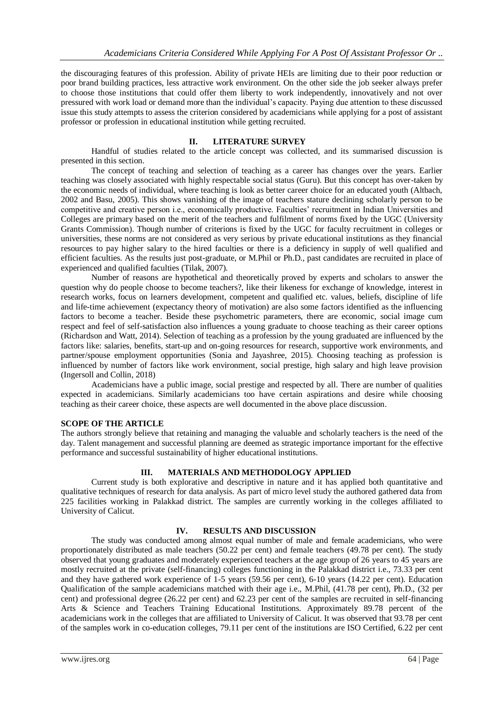the discouraging features of this profession. Ability of private HEIs are limiting due to their poor reduction or poor brand building practices, less attractive work environment. On the other side the job seeker always prefer to choose those institutions that could offer them liberty to work independently, innovatively and not over pressured with work load or demand more than the individual's capacity. Paying due attention to these discussed issue this study attempts to assess the criterion considered by academicians while applying for a post of assistant professor or profession in educational institution while getting recruited.

## **II. LITERATURE SURVEY**

Handful of studies related to the article concept was collected, and its summarised discussion is presented in this section.

The concept of teaching and selection of teaching as a career has changes over the years. Earlier teaching was closely associated with highly respectable social status (Guru). But this concept has over-taken by the economic needs of individual, where teaching is look as better career choice for an educated youth (Altbach, 2002 and Basu, 2005). This shows vanishing of the image of teachers stature declining scholarly person to be competitive and creative person i.e., economically productive. Faculties' recruitment in Indian Universities and Colleges are primary based on the merit of the teachers and fulfilment of norms fixed by the UGC (University Grants Commission). Though number of criterions is fixed by the UGC for faculty recruitment in colleges or universities, these norms are not considered as very serious by private educational institutions as they financial resources to pay higher salary to the hired faculties or there is a deficiency in supply of well qualified and efficient faculties. As the results just post-graduate, or M.Phil or Ph.D., past candidates are recruited in place of experienced and qualified faculties (Tilak, 2007).

Number of reasons are hypothetical and theoretically proved by experts and scholars to answer the question why do people choose to become teachers?, like their likeness for exchange of knowledge, interest in research works, focus on learners development, competent and qualified etc. values, beliefs, discipline of life and life-time achievement (expectancy theory of motivation) are also some factors identified as the influencing factors to become a teacher. Beside these psychometric parameters, there are economic, social image cum respect and feel of self-satisfaction also influences a young graduate to choose teaching as their career options (Richardson and Watt, 2014). Selection of teaching as a profession by the young graduated are influenced by the factors like: salaries, benefits, start-up and on-going resources for research, supportive work environments, and partner/spouse employment opportunities (Sonia and Jayashree, 2015). Choosing teaching as profession is influenced by number of factors like work environment, social prestige, high salary and high leave provision (Ingersoll and Collin, 2018)

Academicians have a public image, social prestige and respected by all. There are number of qualities expected in academicians. Similarly academicians too have certain aspirations and desire while choosing teaching as their career choice, these aspects are well documented in the above place discussion.

#### **SCOPE OF THE ARTICLE**

The authors strongly believe that retaining and managing the valuable and scholarly teachers is the need of the day. Talent management and successful planning are deemed as strategic importance important for the effective performance and successful sustainability of higher educational institutions.

#### **III. MATERIALS AND METHODOLOGY APPLIED**

Current study is both explorative and descriptive in nature and it has applied both quantitative and qualitative techniques of research for data analysis. As part of micro level study the authored gathered data from 225 facilities working in Palakkad district. The samples are currently working in the colleges affiliated to University of Calicut.

### **IV. RESULTS AND DISCUSSION**

The study was conducted among almost equal number of male and female academicians, who were proportionately distributed as male teachers (50.22 per cent) and female teachers (49.78 per cent). The study observed that young graduates and moderately experienced teachers at the age group of 26 years to 45 years are mostly recruited at the private (self-financing) colleges functioning in the Palakkad district i.e., 73.33 per cent and they have gathered work experience of 1-5 years (59.56 per cent), 6-10 years (14.22 per cent). Education Qualification of the sample academicians matched with their age i.e., M.Phil, (41.78 per cent), Ph.D., (32 per cent) and professional degree (26.22 per cent) and 62.23 per cent of the samples are recruited in self-financing Arts & Science and Teachers Training Educational Institutions. Approximately 89.78 percent of the academicians work in the colleges that are affiliated to University of Calicut. It was observed that 93.78 per cent of the samples work in co-education colleges, 79.11 per cent of the institutions are ISO Certified, 6.22 per cent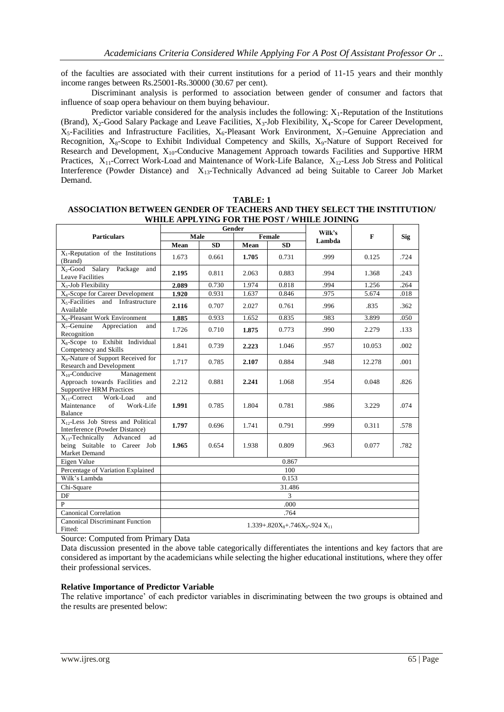of the faculties are associated with their current institutions for a period of 11-15 years and their monthly income ranges between Rs.25001-Rs.30000 (30.67 per cent).

Discriminant analysis is performed to association between gender of consumer and factors that influence of soap opera behaviour on them buying behaviour.

Predictor variable considered for the analysis includes the following:  $X_1$ -Reputation of the Institutions (Brand),  $X_2$ -Good Salary Package and Leave Facilities,  $X_3$ -Job Flexibility,  $X_4$ -Scope for Career Development,  $X_5$ -Facilities and Infrastructure Facilities,  $X_6$ -Pleasant Work Environment,  $X_7$ -Genuine Appreciation and Recognition, X<sub>8</sub>-Scope to Exhibit Individual Competency and Skills, X<sub>9</sub>-Nature of Support Received for Research and Development, X10-Conducive Management Approach towards Facilities and Supportive HRM Practices, X<sub>11</sub>-Correct Work-Load and Maintenance of Work-Life Balance, X<sub>12</sub>-Less Job Stress and Political Interference (Powder Distance) and X13-Technically Advanced ad being Suitable to Career Job Market Demand.

| <b>TABLE: 1</b> |  |
|-----------------|--|
| TE A CHEDE /    |  |

| ASSOCIATION BETWEEN GENDER OF TEACHERS AND THEY SELECT THE INSTITUTION/ |
|-------------------------------------------------------------------------|
| WHILE APPLYING FOR THE POST / WHILE JOINING                             |

|                                                                                                         | Gender                               |           |               |           | Wilk's |        |      |  |
|---------------------------------------------------------------------------------------------------------|--------------------------------------|-----------|---------------|-----------|--------|--------|------|--|
| <b>Particulars</b>                                                                                      | Male                                 |           | <b>Female</b> |           | Lambda | F      | Sig  |  |
|                                                                                                         | Mean                                 | <b>SD</b> | Mean          | <b>SD</b> |        |        |      |  |
| $X_1$ -Reputation of the Institutions<br>(Brand)                                                        | 1.673                                | 0.661     | 1.705         | 0.731     | .999   | 0.125  | .724 |  |
| X <sub>2</sub> -Good Salary Package<br>and<br><b>Leave Facilities</b>                                   | 2.195                                | 0.811     | 2.063         | 0.883     | .994   | 1.368  | .243 |  |
| X <sub>3</sub> -Job Flexibility                                                                         | 2.089                                | 0.730     | 1.974         | 0.818     | .994   | 1.256  | .264 |  |
| X <sub>4</sub> -Scope for Career Development                                                            | 1.920                                | 0.931     | 1.637         | 0.846     | .975   | 5.674  | .018 |  |
| X <sub>5</sub> -Facilities and Infrastructure<br>Available                                              | 2.116                                | 0.707     | 2.027         | 0.761     | .996   | .835   | .362 |  |
| X <sub>6</sub> -Pleasant Work Environment                                                               | 1.885                                | 0.933     | 1.652         | 0.835     | .983   | 3.899  | .050 |  |
| $X_7$ -Genuine<br>Appreciation<br>and<br>Recognition                                                    | 1.726                                | 0.710     | 1.875         | 0.773     | .990   | 2.279  | .133 |  |
| X <sub>8</sub> -Scope to Exhibit Individual<br>Competency and Skills                                    | 1.841                                | 0.739     | 2.223         | 1.046     | .957   | 10.053 | .002 |  |
| X <sub>9</sub> -Nature of Support Received for<br><b>Research and Development</b>                       | 1.717                                | 0.785     | 2.107         | 0.884     | .948   | 12.278 | .001 |  |
| Management<br>$X_{10}$ -Conducive<br>Approach towards Facilities and<br><b>Supportive HRM Practices</b> | 2.212                                | 0.881     | 2.241         | 1.068     | .954   | 0.048  | .826 |  |
| $X_{11}$ -Correct<br>Work-Load<br>and<br>of<br>Maintenance<br>Work-Life<br>Balance                      | 1.991                                | 0.785     | 1.804         | 0.781     | .986   | 3.229  | .074 |  |
| $X_{12}$ -Less Job Stress and Political<br>Interference (Powder Distance)                               | 1.797                                | 0.696     | 1.741         | 0.791     | .999   | 0.311  | .578 |  |
| $X_{13}$ -Technically<br>Advanced<br>ad<br>being Suitable to Career<br>Job<br>Market Demand             | 1.965                                | 0.654     | 1.938         | 0.809     | .963   | 0.077  | .782 |  |
| Eigen Value                                                                                             | 0.867                                |           |               |           |        |        |      |  |
| Percentage of Variation Explained                                                                       | 100                                  |           |               |           |        |        |      |  |
| Wilk's Lambda                                                                                           | 0.153                                |           |               |           |        |        |      |  |
| Chi-Square                                                                                              | 31.486                               |           |               |           |        |        |      |  |
| DF                                                                                                      | $\mathcal{E}$                        |           |               |           |        |        |      |  |
| P                                                                                                       | .000                                 |           |               |           |        |        |      |  |
| <b>Canonical Correlation</b>                                                                            | .764                                 |           |               |           |        |        |      |  |
| <b>Canonical Discriminant Function</b><br>Fitted:                                                       | $1.339 + .820X + .746X - .924X + .1$ |           |               |           |        |        |      |  |

Source: Computed from Primary Data

Data discussion presented in the above table categorically differentiates the intentions and key factors that are considered as important by the academicians while selecting the higher educational institutions, where they offer their professional services.

#### **Relative Importance of Predictor Variable**

The relative importance' of each predictor variables in discriminating between the two groups is obtained and the results are presented below: